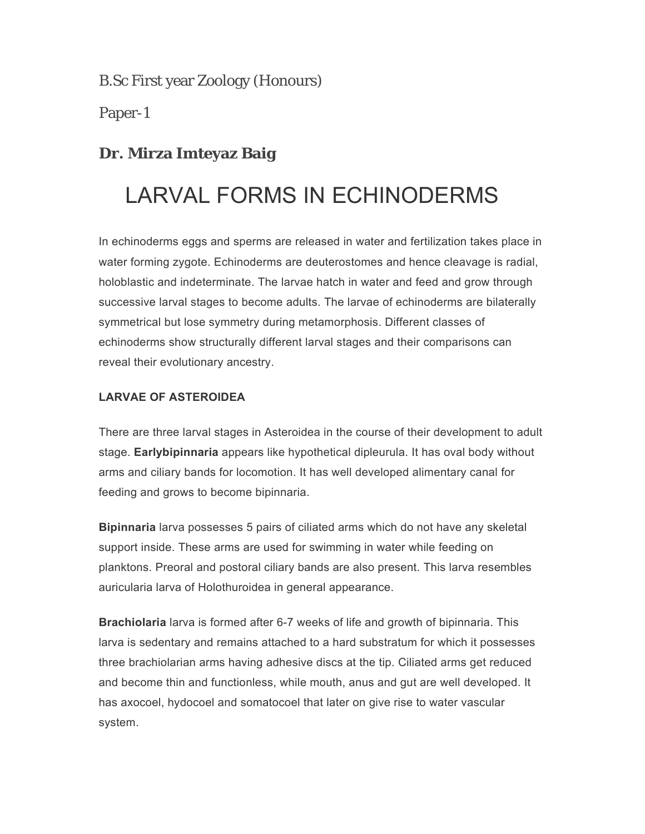B.Sc First year Zoology (Honours)

Paper-1

### **Dr. Mirza Imteyaz Baig**

## LARVAL FORMS IN ECHINODERMS

In echinoderms eggs and sperms are released in water and fertilization takes place in water forming zygote. Echinoderms are deuterostomes and hence cleavage is radial, holoblastic and indeterminate. The larvae hatch in water and feed and grow through successive larval stages to become adults. The larvae of echinoderms are bilaterally symmetrical but lose symmetry during metamorphosis. Different classes of echinoderms show structurally different larval stages and their comparisons can reveal their evolutionary ancestry.

#### **LARVAE OF ASTEROIDEA**

There are three larval stages in Asteroidea in the course of their development to adult stage. **Earlybipinnaria** appears like hypothetical dipleurula. It has oval body without arms and ciliary bands for locomotion. It has well developed alimentary canal for feeding and grows to become bipinnaria.

**Bipinnaria** larva possesses 5 pairs of ciliated arms which do not have any skeletal support inside. These arms are used for swimming in water while feeding on planktons. Preoral and postoral ciliary bands are also present. This larva resembles auricularia larva of Holothuroidea in general appearance.

**Brachiolaria** larva is formed after 6-7 weeks of life and growth of bipinnaria. This larva is sedentary and remains attached to a hard substratum for which it possesses three brachiolarian arms having adhesive discs at the tip. Ciliated arms get reduced and become thin and functionless, while mouth, anus and gut are well developed. It has axocoel, hydocoel and somatocoel that later on give rise to water vascular system.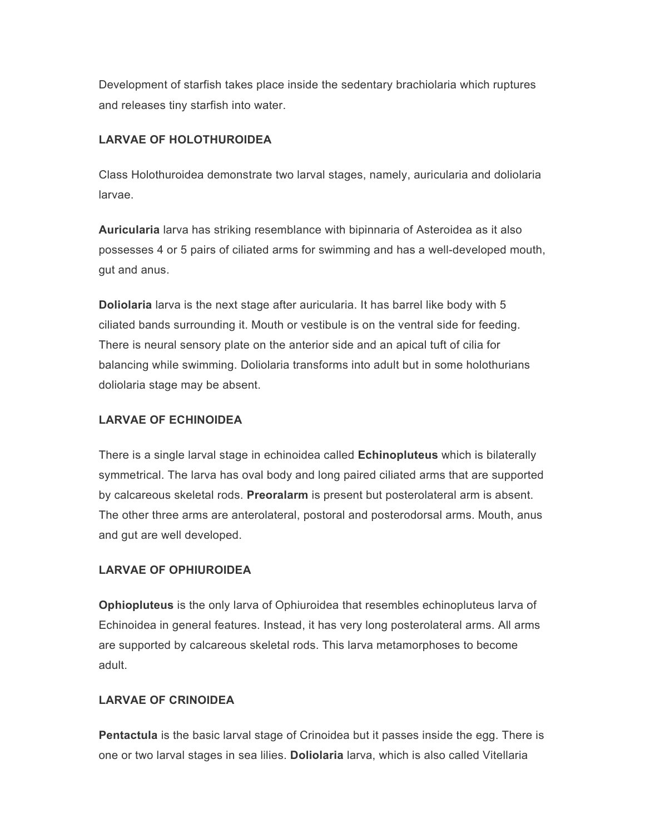Development of starfish takes place inside the sedentary brachiolaria which ruptures and releases tiny starfish into water.

#### **LARVAE OF HOLOTHUROIDEA**

Class Holothuroidea demonstrate two larval stages, namely, auricularia and doliolaria larvae.

**Auricularia** larva has striking resemblance with bipinnaria of Asteroidea as it also possesses 4 or 5 pairs of ciliated arms for swimming and has a well-developed mouth, gut and anus.

**Doliolaria** larva is the next stage after auricularia. It has barrel like body with 5 ciliated bands surrounding it. Mouth or vestibule is on the ventral side for feeding. There is neural sensory plate on the anterior side and an apical tuft of cilia for balancing while swimming. Doliolaria transforms into adult but in some holothurians doliolaria stage may be absent.

#### **LARVAE OF ECHINOIDEA**

There is a single larval stage in echinoidea called **Echinopluteus** which is bilaterally symmetrical. The larva has oval body and long paired ciliated arms that are supported by calcareous skeletal rods. **Preoralarm** is present but posterolateral arm is absent. The other three arms are anterolateral, postoral and posterodorsal arms. Mouth, anus and gut are well developed.

#### **LARVAE OF OPHIUROIDEA**

**Ophiopluteus** is the only larva of Ophiuroidea that resembles echinopluteus larva of Echinoidea in general features. Instead, it has very long posterolateral arms. All arms are supported by calcareous skeletal rods. This larva metamorphoses to become adult.

#### **LARVAE OF CRINOIDEA**

**Pentactula** is the basic larval stage of Crinoidea but it passes inside the egg. There is one or two larval stages in sea lilies. **Doliolaria** larva, which is also called Vitellaria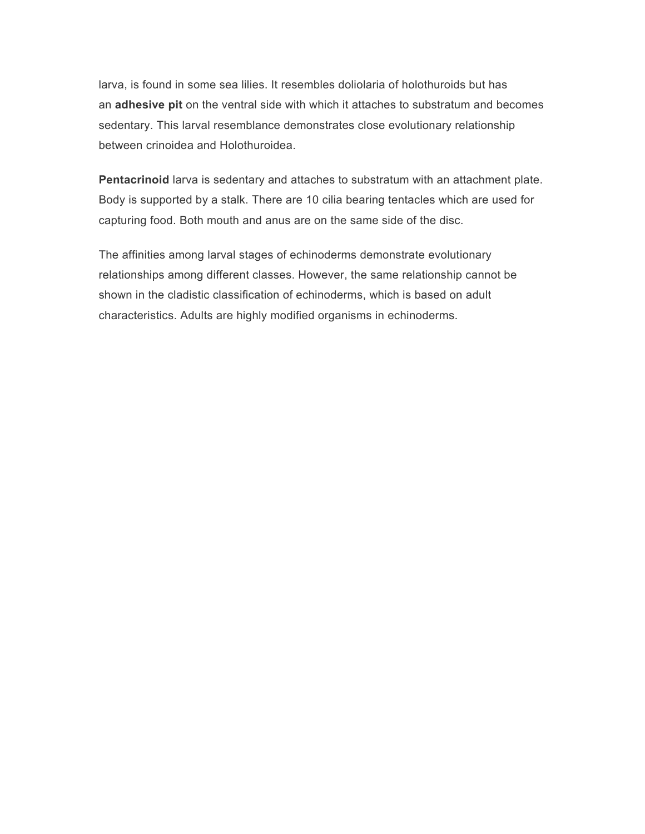larva, is found in some sea lilies. It resembles doliolaria of holothuroids but has an **adhesive pit** on the ventral side with which it attaches to substratum and becomes sedentary. This larval resemblance demonstrates close evolutionary relationship between crinoidea and Holothuroidea.

**Pentacrinoid** larva is sedentary and attaches to substratum with an attachment plate. Body is supported by a stalk. There are 10 cilia bearing tentacles which are used for capturing food. Both mouth and anus are on the same side of the disc.

The affinities among larval stages of echinoderms demonstrate evolutionary relationships among different classes. However, the same relationship cannot be shown in the cladistic classification of echinoderms, which is based on adult characteristics. Adults are highly modified organisms in echinoderms.